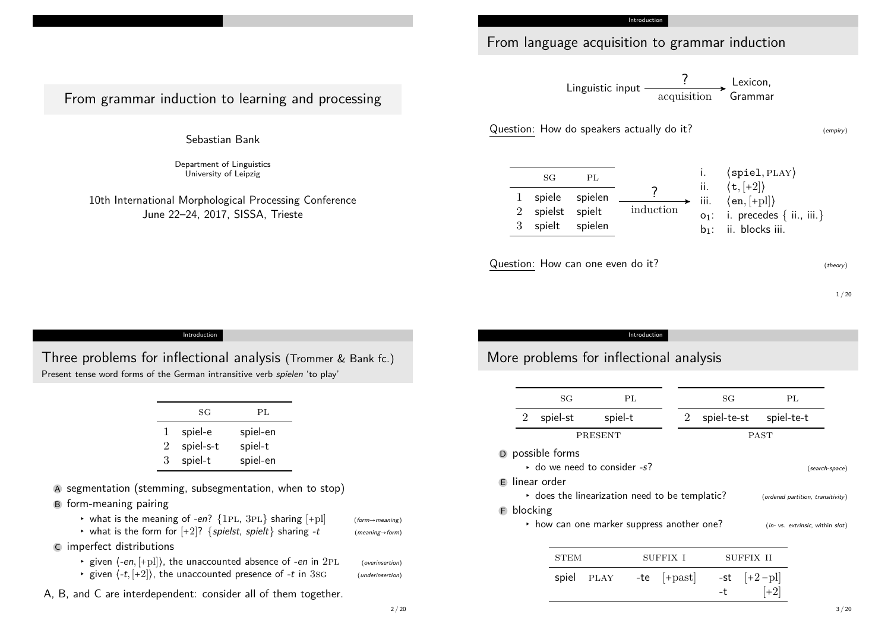From language acquisition to grammar induction

Linguistic input  $\xrightarrow{\text{f}}$  Lexicon,<br>acquisition ?

Question: How do speakers actually do it? (empiry)

sg pl 1 spiele spielen 2 spielst spielt 3 spielt spielen i. ⟨spiel*,* play⟩ ii. ⟨t*,* [+2]⟩ iii. ⟨en*,* [+pl]⟩  $o_1$ : i. precedes { ii., iii.} b<sub>1</sub>: ii. blocks iii. induction ?

Question: How can one even do it?  $\mathbb{Q}$ 

1 / 20

Introduction

Three problems for inflectional analysis [\(Trommer & Ba](#page-5-0)nk fc.) Present tense word forms of the German intransitive verb *spielen* 'to play'

From grammar induction to learning and processing

Sebastian Bank

Department of Linguistics University of Leipzig

10th International Morphological Processing Conference June 22–24, 2017, SISSA, Trieste

|        | SG                   | PL                  |
|--------|----------------------|---------------------|
| ı<br>2 | spiel-e<br>spiel-s-t | spiel-en<br>spiel-t |
| З      | spiel-t              | spiel-en            |

A segmentation (stemming, subsegmentation, when to stop) B form-meaning pairing

- $\triangleright$  what is the meaning of -en? {1PL, 3PL} sharing [+pl] (form→meaning)
- what is the form for  $[+2]$ ? {spielst, spielt} sharing -t (meaning→form)
- C imperfect distributions
	- ▸ given ⟨-en*,* [+pl]⟩, the unaccounted absence of -en in 2pl (overinsertion)
	- given  $\langle -t, +2 \rangle$ , the unaccounted presence of  $-t$  in 3sg (underinsertion)

A, B, and C are interdependent: consider all of them together.

### Introduction

# More problems for inflectional analysis

|                    | SG                                             |             | PL       |               | SG          |           |             | PL                                |                |
|--------------------|------------------------------------------------|-------------|----------|---------------|-------------|-----------|-------------|-----------------------------------|----------------|
| $\overline{2}$     | spiel-st                                       | spiel-t     |          | 2             | spiel-te-st |           | spiel-te-t  |                                   |                |
|                    |                                                | PRESENT     |          |               |             |           | <b>PAST</b> |                                   |                |
|                    | D possible forms                               |             |          |               |             |           |             |                                   |                |
|                    | $\cdot$ do we need to consider -s?             |             |          |               |             |           |             |                                   | (search-space) |
| linear order<br>E. |                                                |             |          |               |             |           |             |                                   |                |
|                    | • does the linearization need to be templatic? |             |          |               |             |           |             | (ordered partition, transitivity) |                |
| blocking<br>Ð      |                                                |             |          |               |             |           |             |                                   |                |
|                    | • how can one marker suppress another one?     |             |          |               |             |           |             | (in- vs. extrinsic, within slot)  |                |
|                    |                                                |             |          |               |             |           |             |                                   |                |
|                    | <b>STEM</b>                                    |             | SUFFIX I |               |             | SUFFIX II |             |                                   |                |
|                    | spiel                                          | <b>PLAY</b> | -te      | $ +$ past $ $ | -st         |           | $ +2-p $    |                                   |                |

 $-t$  [+2]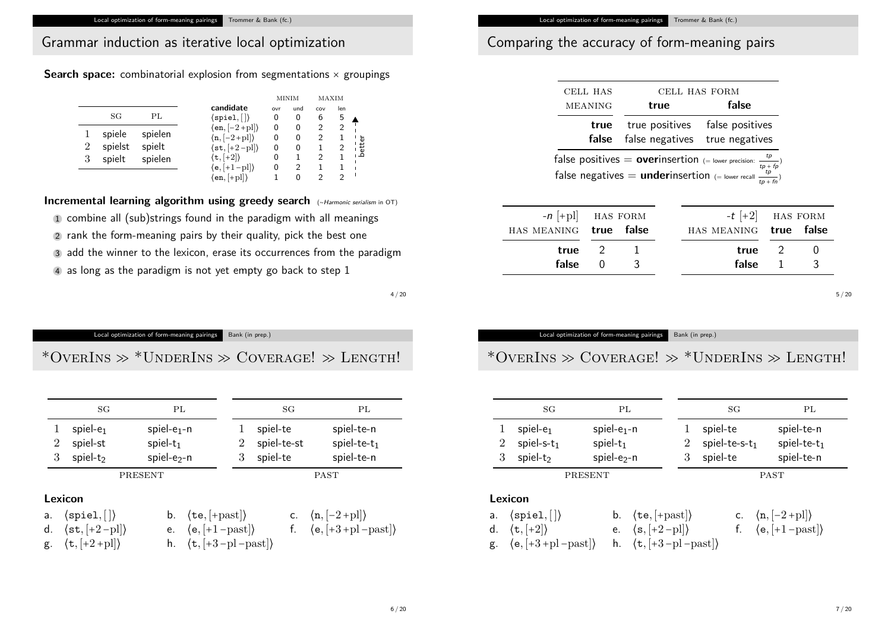# Grammar induction as iterative local optimization

**Search space:** combinatorial explosion from segmentations  $\times$  groupings

|                |         |         |                                                |     | MINIM | MAXIM |     |                   |
|----------------|---------|---------|------------------------------------------------|-----|-------|-------|-----|-------------------|
|                |         |         | candidate                                      | ovr | und   | COV   | len |                   |
|                | SG      | PL      | $\langle {\tt spiel}, [\,] \rangle$            | 0   | 0     | 6     | 5   |                   |
|                |         |         | $\langle en, [-2 + pl] \rangle$                | 0   | 0     |       | 2   |                   |
|                | spiele  | spielen | $\langle n, \lceil -2 + p \rceil \rangle$      | 0   | 0     |       |     |                   |
| $\overline{2}$ | spielst | spielt  | $\langle \texttt{st}, \texttt{[+2-pl]}\rangle$ | 0   | 0     |       | 2   | - - - -<br>better |
| 3              | spielt  | spielen | $\langle \texttt{t}, \texttt{[+2]} \rangle$    | 0   |       | 2     |     |                   |
|                |         |         | $(e, [+1-p1])$                                 | 0   | 2     |       |     |                   |
|                |         |         | $\langle en, [+pl] \rangle$                    |     |       | っ     | っ   |                   |

**Incremental learning algorithm using greedy search** (∼Harmonic serialism in OT)

1 combine all (sub)strings found in the paradigm with all meanings 2 rank the form-meaning pairs by their quality, pick the best one 3 add the winner to the lexicon, erase its occurrences from the paradigm

4 as long as the paradigm is not yet empty go back to step 1

 $4 / 20$ 

Local optimization of form-meaning pairings Bank (in prep.)

<span id="page-1-0"></span>\*OverI[ns](#page-1-0)  $\gg$  [\\*Under](#page-1-0)Ins  $\gg$  [Cov](#page-1-0)erAge!  $\gg$  Length!

|    | SG                                                          | PL                      |                                                                            |   |             | SG | PL                                                                 |
|----|-------------------------------------------------------------|-------------------------|----------------------------------------------------------------------------|---|-------------|----|--------------------------------------------------------------------|
|    | spiel- $e_1$                                                | spiel- $e_1$ -n         |                                                                            |   | spiel-te    |    | spiel-te-n                                                         |
|    | spiel-st<br>$\overline{2}$                                  | $spiel-t_1$             |                                                                            | 2 | spiel-te-st |    | spiel-te- $t_1$                                                    |
|    | 3<br>spiel- $t_2$                                           | spiel-e <sub>2</sub> -n |                                                                            | 3 | spiel-te    |    | spiel-te-n                                                         |
|    |                                                             | PRESENT                 |                                                                            |   |             |    | <b>PAST</b>                                                        |
|    | Lexicon                                                     |                         |                                                                            |   |             |    |                                                                    |
| a. | $\langle$ spiel, $  \rangle$                                |                         | b. $\langle te, [+past] \rangle$                                           |   |             |    | c. $\langle n, [-2 + \text{pl}] \rangle$                           |
| d. | $\langle \texttt{st}, \left[ +2-\text{pl} \right] \rangle$  | e.                      | $\langle e, \lceil +1 - \text{past} \rceil \rangle$                        |   |             |    | f. $\langle e, \lceil +3 + \text{pl} - \text{past} \rceil \rangle$ |
| g. | $\langle \texttt{t}, \left[ +2 + \text{pl} \right] \rangle$ |                         | h. $\langle \texttt{t}, \left[ +3-\text{pl} - \text{past} \right] \rangle$ |   |             |    |                                                                    |

# Comparing the accuracy of form-meaning pairs

| CELL HAS       | CELL HAS FORM                                                               |                                                                                                                                                                       |  |  |
|----------------|-----------------------------------------------------------------------------|-----------------------------------------------------------------------------------------------------------------------------------------------------------------------|--|--|
| <b>MEANING</b> | true                                                                        | false                                                                                                                                                                 |  |  |
|                | true true positives false positives<br>false false negatives true negatives |                                                                                                                                                                       |  |  |
|                |                                                                             | false positives = <b>over</b> insertion (= lower precision: $\frac{tp}{tp + fp}$ )<br>false negatives = <b>under</b> insertion (= lower recall $\frac{tp}{tp + fp}$ ) |  |  |

| $-n$ $[+pl]$ HAS FORM  |                 |  | $-t$ $\left[+2\right]$ HAS FORM |               |  |
|------------------------|-----------------|--|---------------------------------|---------------|--|
| HAS MEANING true false |                 |  | HAS MEANING true false          |               |  |
|                        | true $2 \t 1$   |  |                                 | true $2 \t 0$ |  |
|                        | $false \t0 \t3$ |  |                                 | false $1 \t3$ |  |

#### Local optimization of form-meaning pairings Bank (in prep.)

# \*OverIns  $\gg$  Coverage!  $\gg$  \*UnderIns  $\gg$  Length!

|         | SG                                                             | PL                                                                         |  |             | SG                |  | PL                                       |  |  |
|---------|----------------------------------------------------------------|----------------------------------------------------------------------------|--|-------------|-------------------|--|------------------------------------------|--|--|
|         | spiel- $e_1$                                                   | spiel- $e_1$ -n                                                            |  |             | spiel-te          |  | spiel-te-n                               |  |  |
| 2       | spiel-s- $t_1$                                                 | spiel- $t_1$                                                               |  | 2           | spiel-te-s- $t_1$ |  | spiel-te- $t_1$                          |  |  |
| 3       | spiel- $t_2$                                                   | spiel- $e_2$ -n                                                            |  | 3           | spiel-te          |  | spiel-te-n                               |  |  |
| PRESENT |                                                                |                                                                            |  | <b>PAST</b> |                   |  |                                          |  |  |
|         | Lexicon                                                        |                                                                            |  |             |                   |  |                                          |  |  |
| a.      | $\langle$ spiel, $ \rangle$                                    | b. $\langle \texttt{te}, \left[ + \text{past} \right] \rangle$             |  |             |                   |  | c. $\langle n, [-2 + \text{pl}] \rangle$ |  |  |
| d.      | $\langle \texttt{t}, \texttt{[+2]} \rangle$                    | $\langle s, \lceil +2 -pl \rceil \rangle$<br>e.                            |  |             |                   |  | f. $\langle e,  +1-\text{past}  \rangle$ |  |  |
| g.      | $\langle e, \lceil +3 + p \rceil - \text{past} \rceil \rangle$ | h. $\langle \texttt{t}, \left[ +3-\text{pl} - \text{past} \right] \rangle$ |  |             |                   |  |                                          |  |  |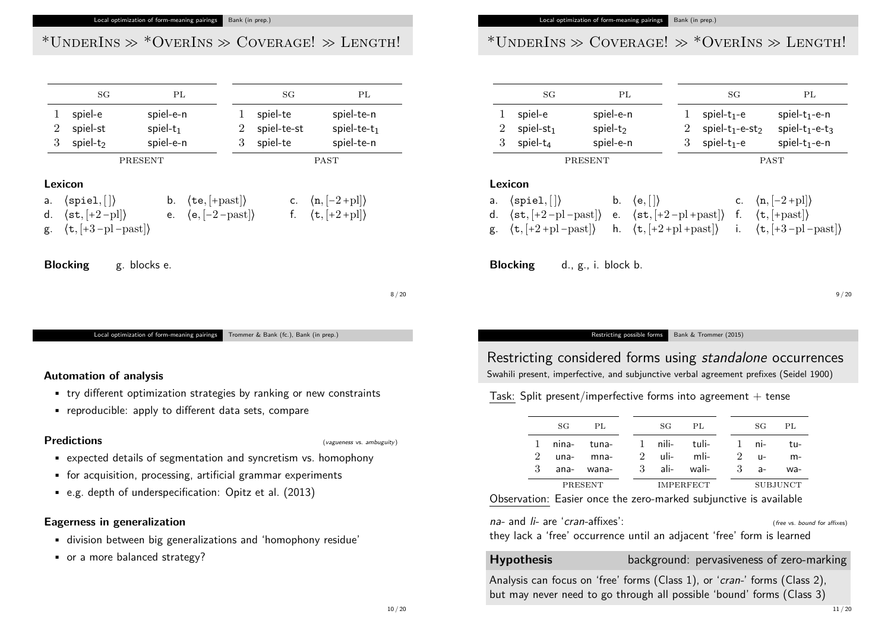#### Local optimization of form-meaning pairings Bank (in prep.)

# \*UNDERINS  $\gg$  \*OVERINS  $\gg$  COVERAGE!  $\gg$  LENGTH!

|    | SG                                                                                                                                    | PL                                                                                                           |  |   | SG          | PL                                                                                              |
|----|---------------------------------------------------------------------------------------------------------------------------------------|--------------------------------------------------------------------------------------------------------------|--|---|-------------|-------------------------------------------------------------------------------------------------|
|    | spiel-e                                                                                                                               | spiel-e-n                                                                                                    |  | 1 | spiel-te    | spiel-te-n                                                                                      |
| 2  | spiel-st                                                                                                                              | spiel- $t_1$                                                                                                 |  | 2 | spiel-te-st | spiel-te- $t_1$                                                                                 |
| 3  | spiel- $t_2$                                                                                                                          | spiel-e-n                                                                                                    |  | 3 | spiel-te    | spiel-te-n                                                                                      |
|    | <b>PRESENT</b>                                                                                                                        |                                                                                                              |  |   |             | <b>PAST</b>                                                                                     |
|    | Lexicon                                                                                                                               |                                                                                                              |  |   |             |                                                                                                 |
| a. | $\langle$ spiel, $  \rangle$<br>d. $\langle \text{st}, [+2-p] \rangle$<br>g. $\langle \texttt{t}, [+3-\text{pl}-\text{past}] \rangle$ | b. $\langle \texttt{te}, \left[ + \text{past} \right] \rangle$<br>e. $\langle e, [-2 - \text{past}] \rangle$ |  |   |             | c. $\langle n, [-2 + \text{pl}] \rangle$<br>f. $\langle \mathbf{t}, [+2 + \mathrm{pl}] \rangle$ |

**Blocking** g. blocks e.

8 / 20

Local optimization of form-meaning pairings Trommer & Bank (fc.), Bank (in prep.)

### <span id="page-2-0"></span>**Automation of analysis**

- try different optimization strategies by ranking or [new constr](#page-5-2)aints
- reproducible: apply to different data sets, compare

### **Predictions** (vagueness vs. ambuguity)

- expected details of segmentation and syncretism vs. homophony
- for acquisition, processing, artificial grammar experiments
- e.g. depth of underspecification: Opitz et al. (2013)

### **Eagerness in generalization**

- division between big generalizations and 'homophony residue'
- or a more balanced strategy?

#### Local optimization of form-meaning pairings Bank (in prep.)

# \*UNDERINS  $\gg$  COVERAGE!  $\gg$  \*OVERINS  $\gg$  LENGTH!

|          |                | SG                                                                                                                                                                                        | PL          |                                          |   |                         | SG |             | PL                                                                                                                                                                                                                                                           |
|----------|----------------|-------------------------------------------------------------------------------------------------------------------------------------------------------------------------------------------|-------------|------------------------------------------|---|-------------------------|----|-------------|--------------------------------------------------------------------------------------------------------------------------------------------------------------------------------------------------------------------------------------------------------------|
|          |                | spiel-e                                                                                                                                                                                   | spiel-e-n   |                                          |   | spiel- $t_1$ -e         |    |             | spiel- $t_1$ -e-n                                                                                                                                                                                                                                            |
|          | $\overline{2}$ | $spiel-st1$                                                                                                                                                                               | spiel- $t2$ |                                          | 2 | spiel- $t_1$ -e-s $t_2$ |    |             | spiel- $t_1$ -e- $t_3$                                                                                                                                                                                                                                       |
|          | 3              | spiel- $t_4$                                                                                                                                                                              | spiel-e-n   |                                          | 3 | spiel- $t_1$ -e         |    |             | spiel- $t_1$ -e-n                                                                                                                                                                                                                                            |
|          |                | PRESENT                                                                                                                                                                                   |             |                                          |   |                         |    | <b>PAST</b> |                                                                                                                                                                                                                                                              |
| a.<br>d. |                | Lexicon<br>$\langle$ spiel, $  \rangle$<br>$\langle \texttt{st}, \lceil +2-\text{pl}-\text{past} \rceil \rangle$<br>g. $\langle \texttt{t}, \lbrack +2 + \text{pl} - \text{past} \rbrack$ | $b_{-}$     | $\langle e, \lceil \cdot \rceil \rangle$ |   |                         |    |             | c. $\langle n, [-2 + \text{pl}] \rangle$<br>e. $\langle st, [+2-pl+past] \rangle$ f. $\langle t, [+past] \rangle$<br>h. $\langle \mathbf{t}, [+2 + \mathrm{pl} + \mathrm{past}] \rangle$ i. $\langle \mathbf{t}, [+3 - \mathrm{pl} - \mathrm{past}] \rangle$ |

**Blocking** d., g., i. block b.

9 / 20

#### Restricting possible forms Bank & Trommer (2015)

### Restricting considered forms using standalone occurrences Swahili present, imperfective, and subjunctive verbal agreement prefixes (Seidel 1900)

### Task: Split present/imperfective forms into agreement  $+$  tense

|         | SG | PL             |                  |  |  | SG PL                       |          |              | SG   | PL.  |
|---------|----|----------------|------------------|--|--|-----------------------------|----------|--------------|------|------|
|         |    | 1 nina- tuna-  |                  |  |  | – 1 nili- tuli- – 1 ni- tu- |          |              |      |      |
|         |    | $2$ una- mna-  |                  |  |  | 2 $\mu$ ii- mli- 2 $\mu$ -  |          |              |      | $m-$ |
|         |    | $3$ ana- wana- |                  |  |  | 3 ali- wali-                |          | $\mathbf{3}$ | $a-$ | wa-  |
| PRESENT |    |                | <b>IMPERFECT</b> |  |  |                             | SUBJUNCT |              |      |      |

Observation: Easier once the zero-marked subjunctive is available

 $na$ - and  $\overline{li}$ - are 'cran-affixes': (free vs. bound for affixes)

they lack a 'free' occurrence until an adjacent 'free' form is learned

**Hypothesis** background: pervasiveness of zero-marking

Analysis can focus on 'free' forms (Class 1), or 'cran-' forms (Class 2), but may never need to go through all possible 'bound' forms (Class 3)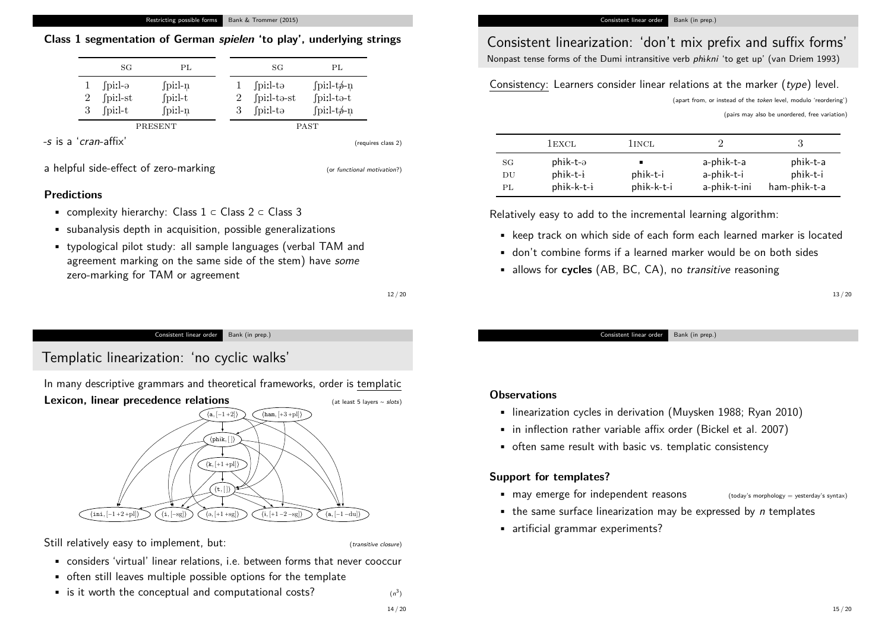#### Restricting possible forms Bank & Trommer (2015)

### **Class 1 segmentation of German spielen 'to play', underlying strings**

|         | SG                                                      | PL                                                                    |  |             | SG                                                            | PL                                                                                      |  |
|---------|---------------------------------------------------------|-----------------------------------------------------------------------|--|-------------|---------------------------------------------------------------|-----------------------------------------------------------------------------------------|--|
| 2<br>3  | $\lceil \text{pix} \rceil$ -ə<br>fpi:l-st<br>$\int \pi$ | $\int \text{pix}$ -n<br>$\int \text{pix1-t}$<br>$\int \text{pix}$ l-n |  | З           | $\int \text{pix1-ta}$<br>$\int \text{pix1-to-st}$<br>fpiːl-tə | $\int \text{pix1-t}\phi - \text{n}$<br>$fpi:1-t0-t$<br>$\int \text{pi:} l - t \phi - n$ |  |
| PRESENT |                                                         |                                                                       |  | <b>PAST</b> |                                                               |                                                                                         |  |

 $-$ s is a '*cran*-affix' (requires class 2)

a helpful side-effect of zero-marking (or functional motivation?)

### **Predictions**

- complexity hierarchy: Class 1 ⊂ Class 2 ⊂ Class 3
- subanalysis depth in acquisition, possible generalizations
- typological pilot study: all sample languages (verbal TAM and agreement marking on the same side of the stem) have some zero-marking for TAM or agreement

12 / 20

#### Consistent linear order Bank (in prep.)

<span id="page-3-0"></span>Templatic l[inearization:](#page-2-0) '[no cyclic wa](#page-2-0)lks'

In many descriptive grammars and theoretical framew[orks, order is](#page-5-4) templatic



Still relatively easy to implement, but: (transitive closure)

- considers 'virtual' linear relations, i.e. between forms that never cooccur
- often still leaves multiple possible options for the template
- is it worth the conceptual and computational costs?

3 )

### Consistent linearization: 'don't mix prefix and suffix forms' Nonpast tense forms of the Dumi intransitive verb phikni 'to get up' (van Driem 1993)

### Consistency: Learners consider linear relations at the marker (type) level.

(apart from, or instead of the token level, modulo 'reordering')

(pairs may also be unordered, free variation)

|    | 1 EXCL       | 1 <sub>INCL</sub> |              |              |
|----|--------------|-------------------|--------------|--------------|
| SG | $phik-t-a$   |                   | a-phik-t-a   | phik-t-a     |
| DU | phik-t-i     | phik-t-i          | a-phik-t-i   | phik-t-i     |
| PL | $phik-k-t-i$ | phik-k-t-i        | a-phik-t-ini | ham-phik-t-a |

Relatively easy to add to the incremental learning algorithm:

- keep track on which side of each form each learned marker is located
- don't combine forms if a learned marker would be on both sides
- allows for **cycles** (AB, BC, CA), no transitive reasoning

13 / 20

Consistent linear order Bank (in prep.)

### **Observations**

- linearization cycles in derivation (Muysken 1988; Ryan 2010)
- in inflection rather variable affix order (Bickel et al. 2007)
- often same result with basic vs. templatic consistency

### **Support for templates?**

• may emerge for independent reasons (today's morphology = yesterday's syntax)

- $\bullet$  the same surface linearization may be expressed by *n* templates
- artificial grammar experiments?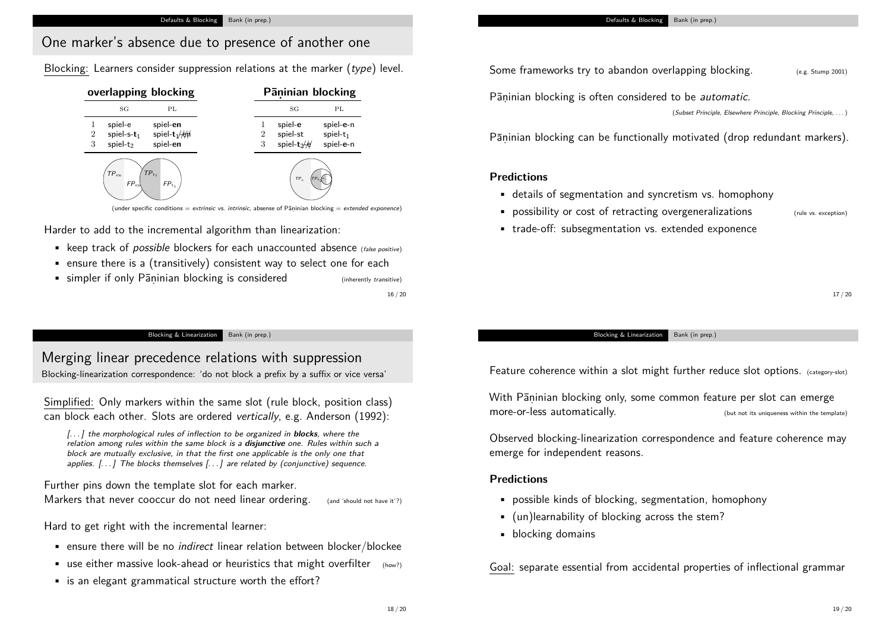## One marker's absence due to presence of another one

Blocking: Learners consider suppression relations at the marker (type) level.

| overlapping blocking                               |                | Pāninian blocking |                 |              |
|----------------------------------------------------|----------------|-------------------|-----------------|--------------|
| SG                                                 | PL             |                   | SG              | PL           |
| spiel-e                                            | spiel-en       |                   | spiel-e         | spiel-e-n    |
| spiel-s- $t_1$<br>$\overline{2}$                   | spiel- $t_1/4$ | $\overline{2}$    | spiel-st        | spiel- $t_1$ |
| spiel-t <sub>2</sub><br>3                          | spiel-en       | 3                 | spiel- $t_2/4$  | spiel-e-n    |
| $TP_{t_1}$<br>$TP_{en}$<br>$FP_{en}$<br>$FP_{t_1}$ |                |                   | TP <sub>n</sub> |              |

(under specific conditions  $=$  extrinsic vs. *intrinsic*, absense of Pāṇinian blocking  $=$  extended exponence)

Harder to add to the incremental algorithm than linearization:

- keep track of *possible* blockers for each unaccounted absence (false positive)
- ensure there is a (transitively) consistent way to select one for each
- simpler if only Paninian blocking is considered (inherently transitive)

16 / 20

#### Blocking & Linearization Bank (in prep.)

<span id="page-4-0"></span>Merging lin[ear preceden](#page-4-0)c[e relatio](#page-4-0)ns with suppression Blocking-linearization correspondence: 'do not block a prefix by a suffix or vice versa'

Simplified: Only markers within the same slot (rule block, p[osition cl](#page-5-6)ass) can block each other. Slots are ordered vertically, e.g. Anderson (1992):

[. . . ] the morphological rules of inflection to be organized in **blocks**[, where th](#page-5-7)e relation among rules within the same block is a **disjunctive** one. Rules within such a block are mutually exclusive, in that the first one applicable is the only one that applies.  $[\dots]$  The blocks themselves  $[\dots]$  are related by (conjunctive) sequence.

Further pins down the template slot for each marker.

Markers that never cooccur do not need linear ordering. (and 'should not have it'?)

Hard to get right with the incremental learner:

- ensure there will be no indirect linear relation between blocker/blockee
- **•** use either massive look-ahead or heuristics that might overfilter  $(how2)$
- is an elegant grammatical structure worth the effort?

Some frameworks try to abandon overlapping blocking.  $(e.g. 5tump 2001)$ 

Pāṇinian blocking is often considered to be *automatic*.

(Subset Principle, Elsewhere Principle, Blocking Principle, . . . )

Pāṇinian blocking can be functionally motivated (drop redundant markers).

### **Predictions**

- details of segmentation and syncretism vs. homophony
- possibility or cost of retracting overgeneralizations (rule vs. exception)
	-
- trade-off: subsegmentation vs. extended exponence

17 / 20

Blocking & Linearization Bank (in prep.)

Feature coherence within a slot might further reduce slot options. (category-slot)

With Pāṇinian blocking only, some common feature per slot can emerge more-or-less automatically. (but not its uniqueness within the template)

Observed blocking-linearization correspondence and feature coherence may emerge for independent reasons.

### **Predictions**

- possible kinds of blocking, segmentation, homophony
- (un)learnability of blocking across the stem?
- blocking domains

Goal: separate essential from accidental properties of inflectional grammar